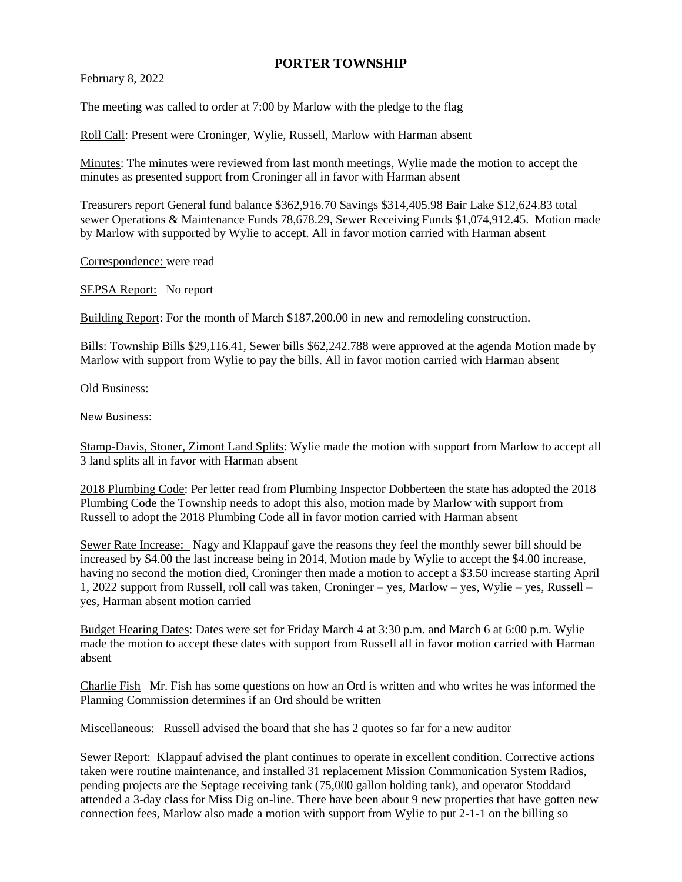## **PORTER TOWNSHIP**

February 8, 2022

The meeting was called to order at 7:00 by Marlow with the pledge to the flag

Roll Call: Present were Croninger, Wylie, Russell, Marlow with Harman absent

Minutes: The minutes were reviewed from last month meetings, Wylie made the motion to accept the minutes as presented support from Croninger all in favor with Harman absent

Treasurers report General fund balance \$362,916.70 Savings \$314,405.98 Bair Lake \$12,624.83 total sewer Operations & Maintenance Funds 78,678.29, Sewer Receiving Funds \$1,074,912.45. Motion made by Marlow with supported by Wylie to accept. All in favor motion carried with Harman absent

Correspondence: were read

SEPSA Report: No report

Building Report: For the month of March \$187,200.00 in new and remodeling construction.

Bills: Township Bills \$29,116.41, Sewer bills \$62,242.788 were approved at the agenda Motion made by Marlow with support from Wylie to pay the bills. All in favor motion carried with Harman absent

Old Business:

New Business:

Stamp-Davis, Stoner, Zimont Land Splits: Wylie made the motion with support from Marlow to accept all 3 land splits all in favor with Harman absent

2018 Plumbing Code: Per letter read from Plumbing Inspector Dobberteen the state has adopted the 2018 Plumbing Code the Township needs to adopt this also, motion made by Marlow with support from Russell to adopt the 2018 Plumbing Code all in favor motion carried with Harman absent

Sewer Rate Increase: Nagy and Klappauf gave the reasons they feel the monthly sewer bill should be increased by \$4.00 the last increase being in 2014, Motion made by Wylie to accept the \$4.00 increase, having no second the motion died, Croninger then made a motion to accept a \$3.50 increase starting April 1, 2022 support from Russell, roll call was taken, Croninger – yes, Marlow – yes, Wylie – yes, Russell – yes, Harman absent motion carried

Budget Hearing Dates: Dates were set for Friday March 4 at 3:30 p.m. and March 6 at 6:00 p.m. Wylie made the motion to accept these dates with support from Russell all in favor motion carried with Harman absent

Charlie Fish Mr. Fish has some questions on how an Ord is written and who writes he was informed the Planning Commission determines if an Ord should be written

Miscellaneous: Russell advised the board that she has 2 quotes so far for a new auditor

Sewer Report: Klappauf advised the plant continues to operate in excellent condition. Corrective actions taken were routine maintenance, and installed 31 replacement Mission Communication System Radios, pending projects are the Septage receiving tank (75,000 gallon holding tank), and operator Stoddard attended a 3-day class for Miss Dig on-line. There have been about 9 new properties that have gotten new connection fees, Marlow also made a motion with support from Wylie to put 2-1-1 on the billing so